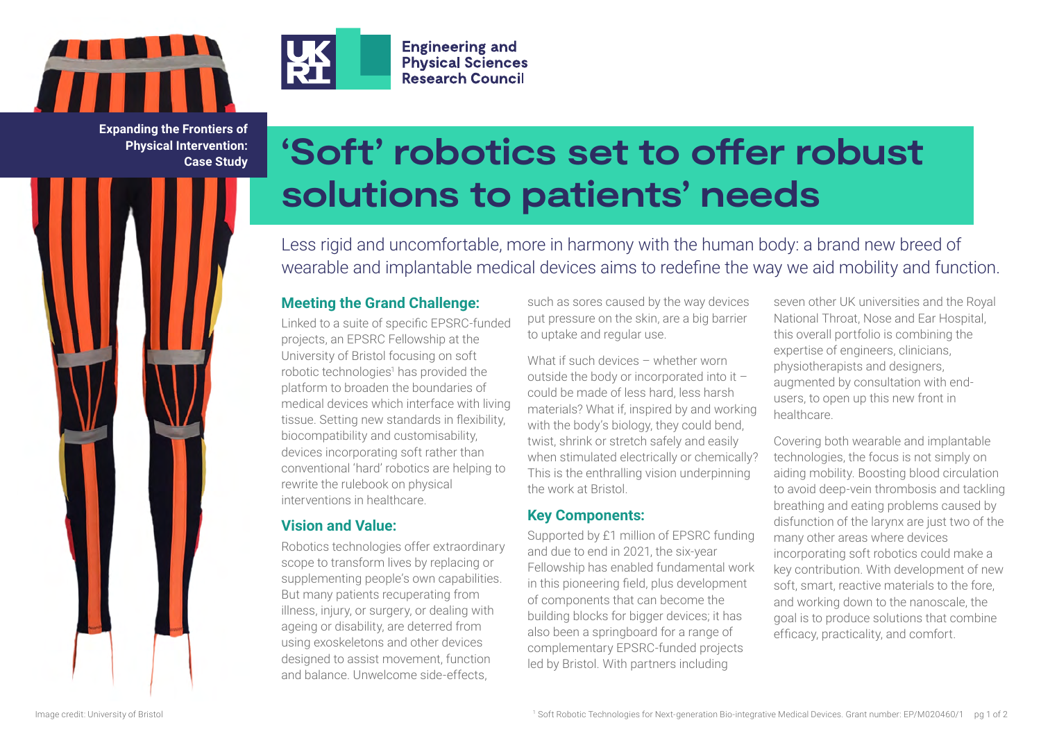



**Engineering and Physical Sciences Research Council** 

**Expanding the Frontiers of Physical Intervention: Case Study**

# **'Soft' robotics set to offer robust solutions to patients' needs**

Less rigid and uncomfortable, more in harmony with the human body: a brand new breed of wearable and implantable medical devices aims to redefine the way we aid mobility and function.

## **Meeting the Grand Challenge:**

Linked to a suite of specific EPSRC-funded projects, an EPSRC Fellowship at the University of Bristol focusing on soft robotic technologies<sup>1</sup> has provided the platform to broaden the boundaries of medical devices which interface with living tissue. Setting new standards in flexibility, biocompatibility and customisability, devices incorporating soft rather than conventional 'hard' robotics are helping to rewrite the rulebook on physical interventions in healthcare.

## **Vision and Value:**

Robotics technologies offer extraordinary scope to transform lives by replacing or supplementing people's own capabilities. But many patients recuperating from illness, injury, or surgery, or dealing with ageing or disability, are deterred from using exoskeletons and other devices designed to assist movement, function and balance. Unwelcome side-effects,

such as sores caused by the way devices put pressure on the skin, are a big barrier to uptake and regular use.

What if such devices – whether worn outside the body or incorporated into it – could be made of less hard, less harsh materials? What if, inspired by and working with the body's biology, they could bend, twist, shrink or stretch safely and easily when stimulated electrically or chemically? This is the enthralling vision underpinning the work at Bristol.

## **Key Components:**

Supported by £1 million of EPSRC funding and due to end in 2021, the six-year Fellowship has enabled fundamental work in this pioneering field, plus development of components that can become the building blocks for bigger devices; it has also been a springboard for a range of complementary EPSRC-funded projects led by Bristol. With partners including

seven other UK universities and the Royal National Throat, Nose and Ear Hospital, this overall portfolio is combining the expertise of engineers, clinicians, physiotherapists and designers, augmented by consultation with endusers, to open up this new front in healthcare.

Covering both wearable and implantable technologies, the focus is not simply on aiding mobility. Boosting blood circulation to avoid deep-vein thrombosis and tackling breathing and eating problems caused by disfunction of the larynx are just two of the many other areas where devices incorporating soft robotics could make a key contribution. With development of new soft, smart, reactive materials to the fore, and working down to the nanoscale, the goal is to produce solutions that combine efficacy, practicality, and comfort.